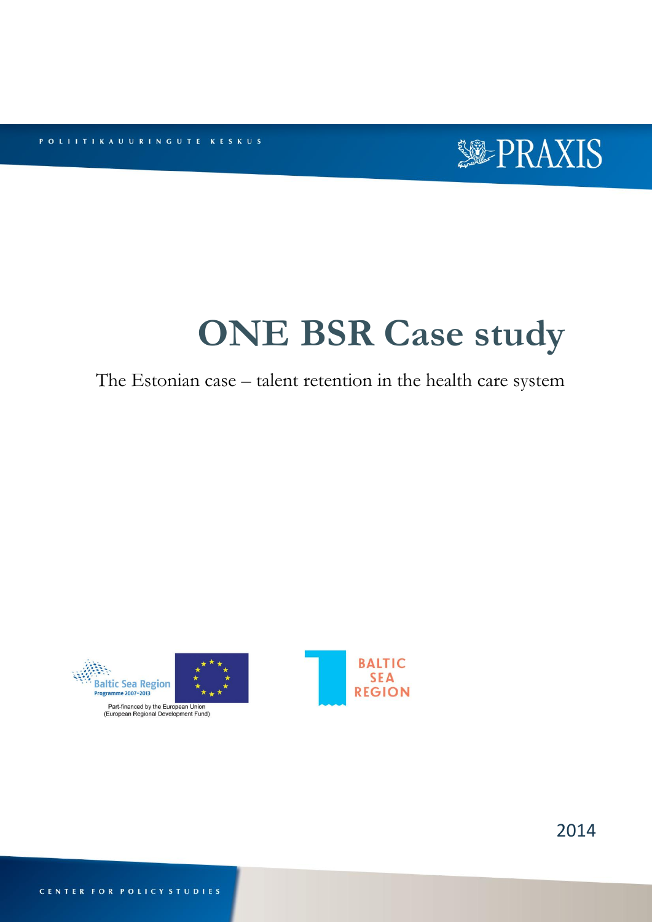POLITTIKAUURINGUTE KESKUS



# **ONE BSR Case study**

# The Estonian case – talent retention in the health care system



Part-financed by the European Union<br>(European Regional Development Fund)



2014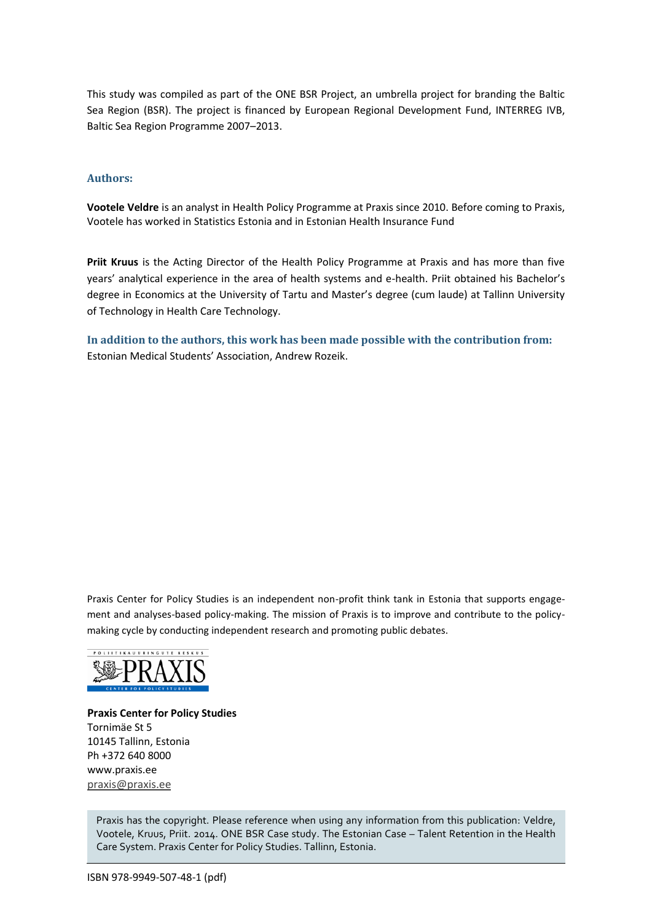This study was compiled as part of the ONE BSR Project, an umbrella project for branding the Baltic Sea Region (BSR). The project is financed by European Regional Development Fund, INTERREG IVB, Baltic Sea Region Programme 2007–2013.

#### **Authors:**

**Vootele Veldre** is an analyst in Health Policy Programme at Praxis since 2010. Before coming to Praxis, Vootele has worked in Statistics Estonia and in Estonian Health Insurance Fund

**Priit Kruus** is the Acting Director of the Health Policy Programme at Praxis and has more than five years' analytical experience in the area of health systems and e-health. Priit obtained his Bachelor's degree in Economics at the University of Tartu and Master's degree (cum laude) at Tallinn University of Technology in Health Care Technology.

**In addition to the authors, this work has been made possible with the contribution from:** Estonian Medical Students' Association, Andrew Rozeik.

Praxis Center for Policy Studies is an independent non-profit think tank in Estonia that supports engagement and analyses-based policy-making. The mission of Praxis is to improve and contribute to the policymaking cycle by conducting independent research and promoting public debates.



**Praxis Center for Policy Studies** Tornimäe St 5 10145 Tallinn, Estonia Ph +372 640 8000 www.praxis.ee [praxis@praxis.ee](mailto:praxis@praxis.ee)

Praxis has the copyright. Please reference when using any information from this publication: Veldre, Vootele, Kruus, Priit. 2014. ONE BSR Case study. The Estonian Case – Talent Retention in the Health Care System. Praxis Center for Policy Studies. Tallinn, Estonia.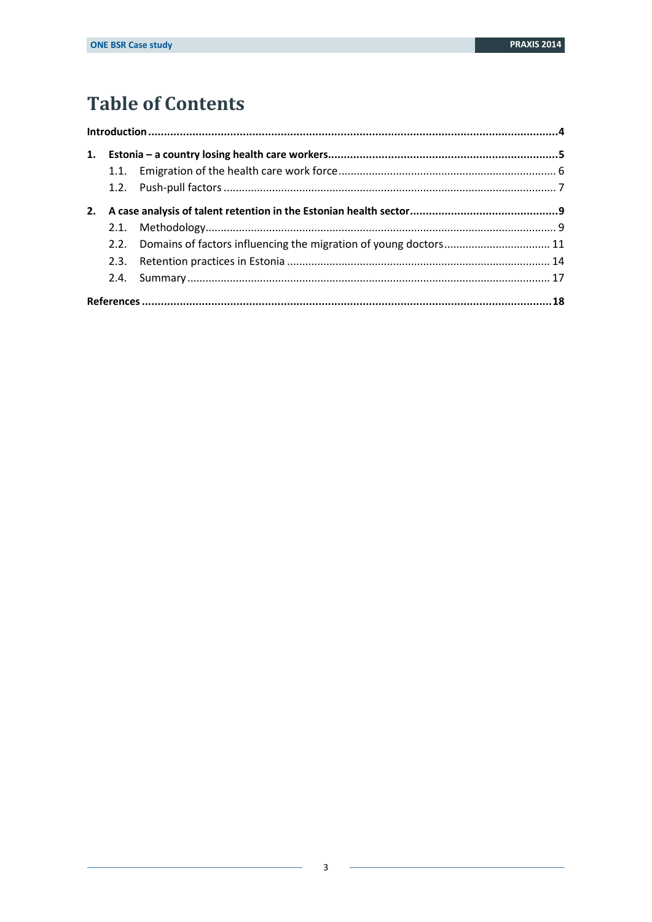# **Table of Contents**

| 2. |  |                                                                       |  |  |  |  |
|----|--|-----------------------------------------------------------------------|--|--|--|--|
|    |  |                                                                       |  |  |  |  |
|    |  | 2.2. Domains of factors influencing the migration of young doctors 11 |  |  |  |  |
|    |  |                                                                       |  |  |  |  |
|    |  |                                                                       |  |  |  |  |
|    |  |                                                                       |  |  |  |  |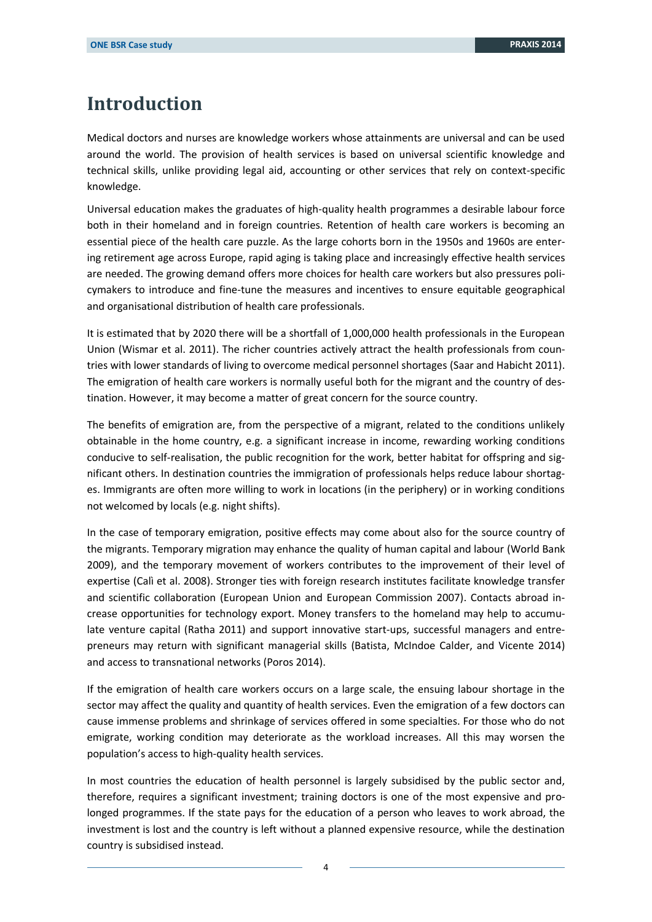# <span id="page-3-0"></span>**Introduction**

Medical doctors and nurses are knowledge workers whose attainments are universal and can be used around the world. The provision of health services is based on universal scientific knowledge and technical skills, unlike providing legal aid, accounting or other services that rely on context-specific knowledge.

Universal education makes the graduates of high-quality health programmes a desirable labour force both in their homeland and in foreign countries. Retention of health care workers is becoming an essential piece of the health care puzzle. As the large cohorts born in the 1950s and 1960s are entering retirement age across Europe, rapid aging is taking place and increasingly effective health services are needed. The growing demand offers more choices for health care workers but also pressures policymakers to introduce and fine-tune the measures and incentives to ensure equitable geographical and organisational distribution of health care professionals.

It is estimated that by 2020 there will be a shortfall of 1,000,000 health professionals in the European Union (Wismar et al. 2011). The richer countries actively attract the health professionals from countries with lower standards of living to overcome medical personnel shortages (Saar and Habicht 2011). The emigration of health care workers is normally useful both for the migrant and the country of destination. However, it may become a matter of great concern for the source country.

The benefits of emigration are, from the perspective of a migrant, related to the conditions unlikely obtainable in the home country, e.g. a significant increase in income, rewarding working conditions conducive to self-realisation, the public recognition for the work, better habitat for offspring and significant others. In destination countries the immigration of professionals helps reduce labour shortages. Immigrants are often more willing to work in locations (in the periphery) or in working conditions not welcomed by locals (e.g. night shifts).

In the case of temporary emigration, positive effects may come about also for the source country of the migrants. Temporary migration may enhance the quality of human capital and labour (World Bank 2009), and the temporary movement of workers contributes to the improvement of their level of expertise (Calì et al. 2008). Stronger ties with foreign research institutes facilitate knowledge transfer and scientific collaboration (European Union and European Commission 2007). Contacts abroad increase opportunities for technology export. Money transfers to the homeland may help to accumulate venture capital (Ratha 2011) and support innovative start-ups, successful managers and entrepreneurs may return with significant managerial skills (Batista, McIndoe Calder, and Vicente 2014) and access to transnational networks (Poros 2014).

If the emigration of health care workers occurs on a large scale, the ensuing labour shortage in the sector may affect the quality and quantity of health services. Even the emigration of a few doctors can cause immense problems and shrinkage of services offered in some specialties. For those who do not emigrate, working condition may deteriorate as the workload increases. All this may worsen the population's access to high-quality health services.

In most countries the education of health personnel is largely subsidised by the public sector and, therefore, requires a significant investment; training doctors is one of the most expensive and prolonged programmes. If the state pays for the education of a person who leaves to work abroad, the investment is lost and the country is left without a planned expensive resource, while the destination country is subsidised instead.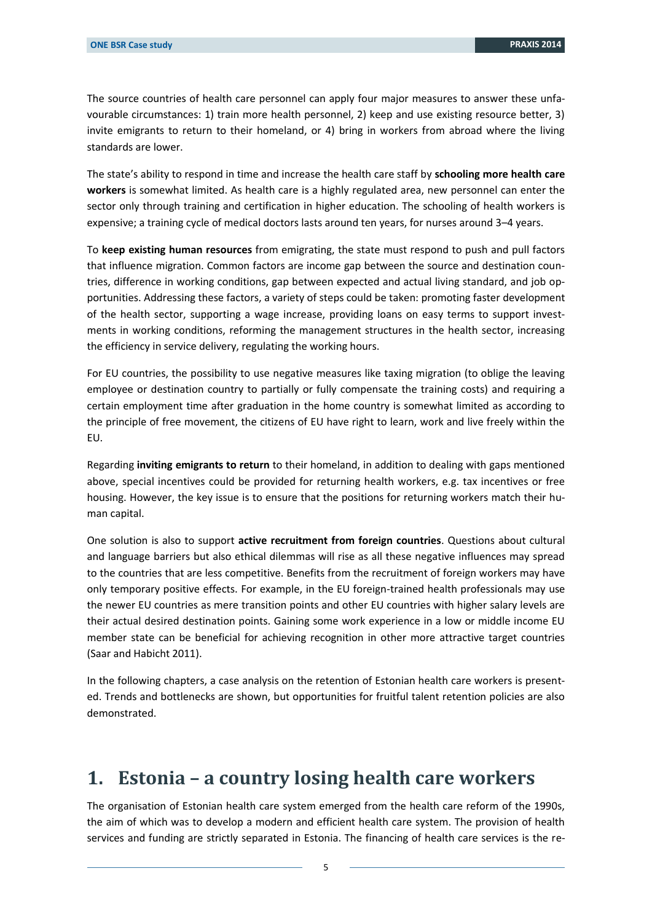The source countries of health care personnel can apply four major measures to answer these unfavourable circumstances: 1) train more health personnel, 2) keep and use existing resource better, 3) invite emigrants to return to their homeland, or 4) bring in workers from abroad where the living standards are lower.

The state's ability to respond in time and increase the health care staff by **schooling more health care workers** is somewhat limited. As health care is a highly regulated area, new personnel can enter the sector only through training and certification in higher education. The schooling of health workers is expensive; a training cycle of medical doctors lasts around ten years, for nurses around 3–4 years.

To **keep existing human resources** from emigrating, the state must respond to push and pull factors that influence migration. Common factors are income gap between the source and destination countries, difference in working conditions, gap between expected and actual living standard, and job opportunities. Addressing these factors, a variety of steps could be taken: promoting faster development of the health sector, supporting a wage increase, providing loans on easy terms to support investments in working conditions, reforming the management structures in the health sector, increasing the efficiency in service delivery, regulating the working hours.

For EU countries, the possibility to use negative measures like taxing migration (to oblige the leaving employee or destination country to partially or fully compensate the training costs) and requiring a certain employment time after graduation in the home country is somewhat limited as according to the principle of free movement, the citizens of EU have right to learn, work and live freely within the EU.

Regarding **inviting emigrants to return** to their homeland, in addition to dealing with gaps mentioned above, special incentives could be provided for returning health workers, e.g. tax incentives or free housing. However, the key issue is to ensure that the positions for returning workers match their human capital.

One solution is also to support **active recruitment from foreign countries**. Questions about cultural and language barriers but also ethical dilemmas will rise as all these negative influences may spread to the countries that are less competitive. Benefits from the recruitment of foreign workers may have only temporary positive effects. For example, in the EU foreign-trained health professionals may use the newer EU countries as mere transition points and other EU countries with higher salary levels are their actual desired destination points. Gaining some work experience in a low or middle income EU member state can be beneficial for achieving recognition in other more attractive target countries (Saar and Habicht 2011).

In the following chapters, a case analysis on the retention of Estonian health care workers is presented. Trends and bottlenecks are shown, but opportunities for fruitful talent retention policies are also demonstrated.

### <span id="page-4-0"></span>**1. Estonia – a country losing health care workers**

The organisation of Estonian health care system emerged from the health care reform of the 1990s, the aim of which was to develop a modern and efficient health care system. The provision of health services and funding are strictly separated in Estonia. The financing of health care services is the re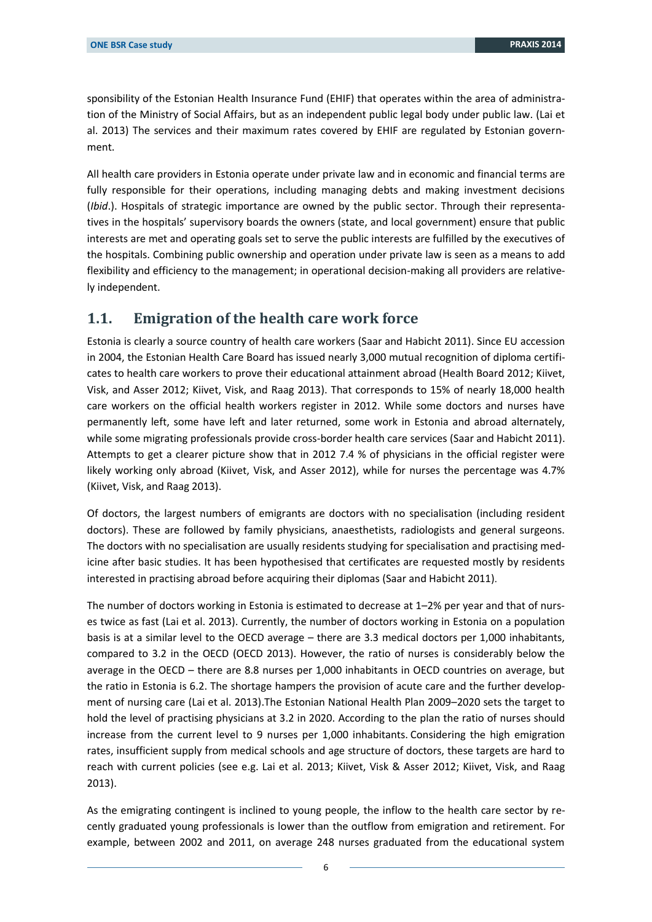sponsibility of the Estonian Health Insurance Fund (EHIF) that operates within the area of administration of the Ministry of Social Affairs, but as an independent public legal body under public law. (Lai et al. 2013) The services and their maximum rates covered by EHIF are regulated by Estonian government.

All health care providers in Estonia operate under private law and in economic and financial terms are fully responsible for their operations, including managing debts and making investment decisions (*Ibid*.). Hospitals of strategic importance are owned by the public sector. Through their representatives in the hospitals' supervisory boards the owners (state, and local government) ensure that public interests are met and operating goals set to serve the public interests are fulfilled by the executives of the hospitals. Combining public ownership and operation under private law is seen as a means to add flexibility and efficiency to the management; in operational decision-making all providers are relatively independent.

#### <span id="page-5-0"></span>**1.1. Emigration of the health care work force**

Estonia is clearly a source country of health care workers (Saar and Habicht 2011). Since EU accession in 2004, the Estonian Health Care Board has issued nearly 3,000 mutual recognition of diploma certificates to health care workers to prove their educational attainment abroad (Health Board 2012; Kiivet, Visk, and Asser 2012; Kiivet, Visk, and Raag 2013). That corresponds to 15% of nearly 18,000 health care workers on the official health workers register in 2012. While some doctors and nurses have permanently left, some have left and later returned, some work in Estonia and abroad alternately, while some migrating professionals provide cross-border health care services (Saar and Habicht 2011). Attempts to get a clearer picture show that in 2012 7.4 % of physicians in the official register were likely working only abroad (Kiivet, Visk, and Asser 2012), while for nurses the percentage was 4.7% (Kiivet, Visk, and Raag 2013).

Of doctors, the largest numbers of emigrants are doctors with no specialisation (including resident doctors). These are followed by family physicians, anaesthetists, radiologists and general surgeons. The doctors with no specialisation are usually residents studying for specialisation and practising medicine after basic studies. It has been hypothesised that certificates are requested mostly by residents interested in practising abroad before acquiring their diplomas (Saar and Habicht 2011).

The number of doctors working in Estonia is estimated to decrease at 1–2% per year and that of nurses twice as fast (Lai et al. 2013). Currently, the number of doctors working in Estonia on a population basis is at a similar level to the OECD average – there are 3.3 medical doctors per 1,000 inhabitants, compared to 3.2 in the OECD (OECD 2013). However, the ratio of nurses is considerably below the average in the OECD – there are 8.8 nurses per 1,000 inhabitants in OECD countries on average, but the ratio in Estonia is 6.2. The shortage hampers the provision of acute care and the further development of nursing care (Lai et al. 2013).The Estonian National Health Plan 2009–2020 sets the target to hold the level of practising physicians at 3.2 in 2020. According to the plan the ratio of nurses should increase from the current level to 9 nurses per 1,000 inhabitants. Considering the high emigration rates, insufficient supply from medical schools and age structure of doctors, these targets are hard to reach with current policies (see e.g. Lai et al. 2013; Kiivet, Visk & Asser 2012; Kiivet, Visk, and Raag 2013).

As the emigrating contingent is inclined to young people, the inflow to the health care sector by recently graduated young professionals is lower than the outflow from emigration and retirement. For example, between 2002 and 2011, on average 248 nurses graduated from the educational system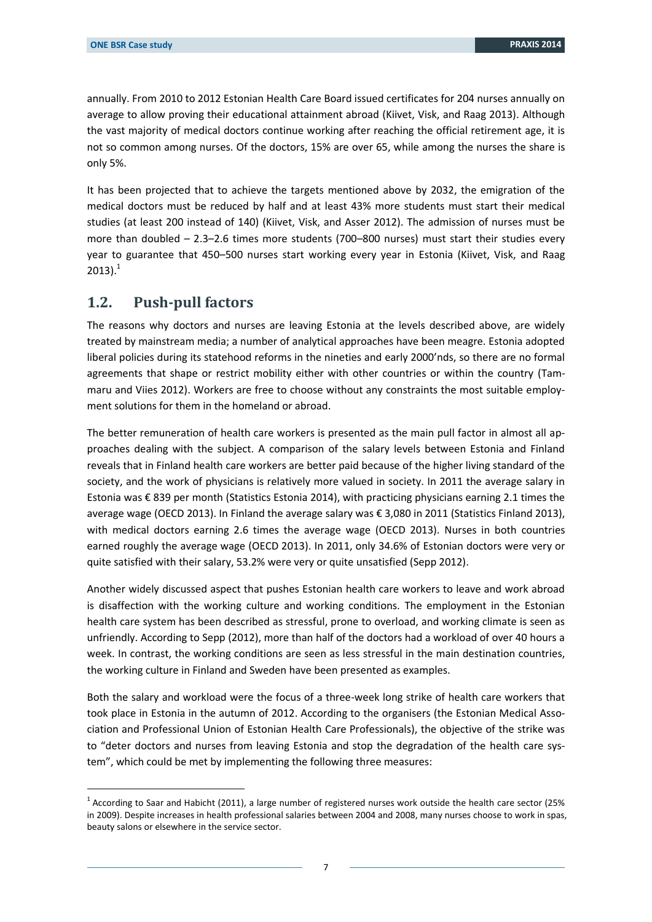annually. From 2010 to 2012 Estonian Health Care Board issued certificates for 204 nurses annually on average to allow proving their educational attainment abroad (Kiivet, Visk, and Raag 2013). Although the vast majority of medical doctors continue working after reaching the official retirement age, it is not so common among nurses. Of the doctors, 15% are over 65, while among the nurses the share is only 5%.

It has been projected that to achieve the targets mentioned above by 2032, the emigration of the medical doctors must be reduced by half and at least 43% more students must start their medical studies (at least 200 instead of 140) (Kiivet, Visk, and Asser 2012). The admission of nurses must be more than doubled – 2.3–2.6 times more students (700–800 nurses) must start their studies every year to guarantee that 450–500 nurses start working every year in Estonia (Kiivet, Visk, and Raag  $2013$ ).<sup>1</sup>

#### <span id="page-6-0"></span>**1.2. Push-pull factors**

-

The reasons why doctors and nurses are leaving Estonia at the levels described above, are widely treated by mainstream media; a number of analytical approaches have been meagre. Estonia adopted liberal policies during its statehood reforms in the nineties and early 2000'nds, so there are no formal agreements that shape or restrict mobility either with other countries or within the country (Tammaru and Viies 2012). Workers are free to choose without any constraints the most suitable employment solutions for them in the homeland or abroad.

The better remuneration of health care workers is presented as the main pull factor in almost all approaches dealing with the subject. A comparison of the salary levels between Estonia and Finland reveals that in Finland health care workers are better paid because of the higher living standard of the society, and the work of physicians is relatively more valued in society. In 2011 the average salary in Estonia was € 839 per month (Statistics Estonia 2014), with practicing physicians earning 2.1 times the average wage (OECD 2013). In Finland the average salary was € 3,080 in 2011 (Statistics Finland 2013), with medical doctors earning 2.6 times the average wage (OECD 2013). Nurses in both countries earned roughly the average wage (OECD 2013). In 2011, only 34.6% of Estonian doctors were very or quite satisfied with their salary, 53.2% were very or quite unsatisfied (Sepp 2012).

Another widely discussed aspect that pushes Estonian health care workers to leave and work abroad is disaffection with the working culture and working conditions. The employment in the Estonian health care system has been described as stressful, prone to overload, and working climate is seen as unfriendly. According to Sepp (2012), more than half of the doctors had a workload of over 40 hours a week. In contrast, the working conditions are seen as less stressful in the main destination countries, the working culture in Finland and Sweden have been presented as examples.

Both the salary and workload were the focus of a three-week long strike of health care workers that took place in Estonia in the autumn of 2012. According to the organisers (the Estonian Medical Association and Professional Union of Estonian Health Care Professionals), the objective of the strike was to "deter doctors and nurses from leaving Estonia and stop the degradation of the health care system", which could be met by implementing the following three measures:

 $1$  According to Saar and Habicht (2011), a large number of registered nurses work outside the health care sector (25% in 2009). Despite increases in health professional salaries between 2004 and 2008, many nurses choose to work in spas, beauty salons or elsewhere in the service sector.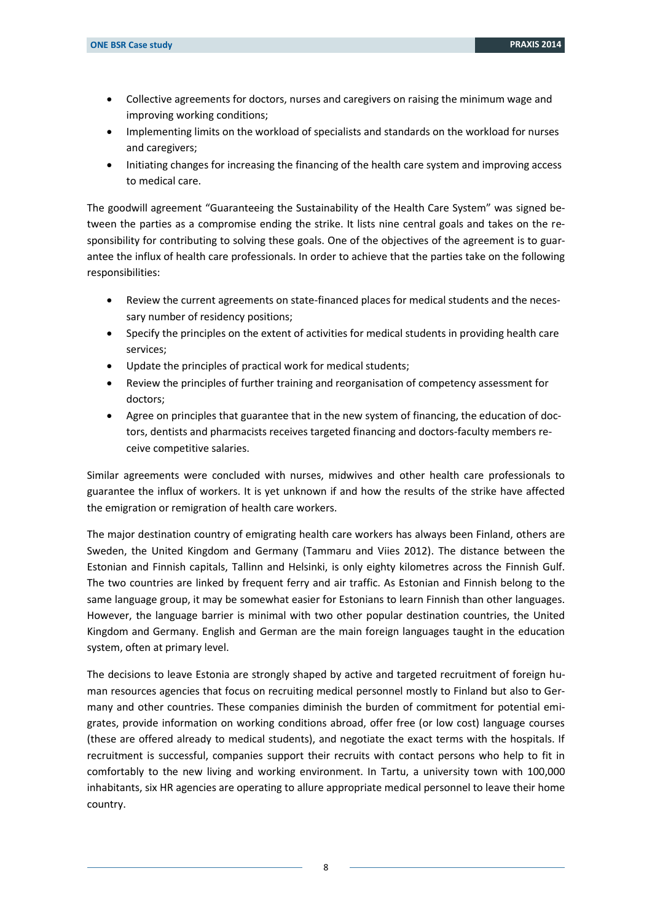- Collective agreements for doctors, nurses and caregivers on raising the minimum wage and improving working conditions;
- Implementing limits on the workload of specialists and standards on the workload for nurses and caregivers;
- Initiating changes for increasing the financing of the health care system and improving access to medical care.

The goodwill agreement "Guaranteeing the Sustainability of the Health Care System" was signed between the parties as a compromise ending the strike. It lists nine central goals and takes on the responsibility for contributing to solving these goals. One of the objectives of the agreement is to guarantee the influx of health care professionals. In order to achieve that the parties take on the following responsibilities:

- Review the current agreements on state-financed places for medical students and the necessary number of residency positions;
- Specify the principles on the extent of activities for medical students in providing health care services;
- Update the principles of practical work for medical students;
- Review the principles of further training and reorganisation of competency assessment for doctors;
- Agree on principles that guarantee that in the new system of financing, the education of doctors, dentists and pharmacists receives targeted financing and doctors-faculty members receive competitive salaries.

Similar agreements were concluded with nurses, midwives and other health care professionals to guarantee the influx of workers. It is yet unknown if and how the results of the strike have affected the emigration or remigration of health care workers.

The major destination country of emigrating health care workers has always been Finland, others are Sweden, the United Kingdom and Germany (Tammaru and Viies 2012). The distance between the Estonian and Finnish capitals, Tallinn and Helsinki, is only eighty kilometres across the Finnish Gulf. The two countries are linked by frequent ferry and air traffic. As Estonian and Finnish belong to the same language group, it may be somewhat easier for Estonians to learn Finnish than other languages. However, the language barrier is minimal with two other popular destination countries, the United Kingdom and Germany. English and German are the main foreign languages taught in the education system, often at primary level.

The decisions to leave Estonia are strongly shaped by active and targeted recruitment of foreign human resources agencies that focus on recruiting medical personnel mostly to Finland but also to Germany and other countries. These companies diminish the burden of commitment for potential emigrates, provide information on working conditions abroad, offer free (or low cost) language courses (these are offered already to medical students), and negotiate the exact terms with the hospitals. If recruitment is successful, companies support their recruits with contact persons who help to fit in comfortably to the new living and working environment. In Tartu, a university town with 100,000 inhabitants, six HR agencies are operating to allure appropriate medical personnel to leave their home country.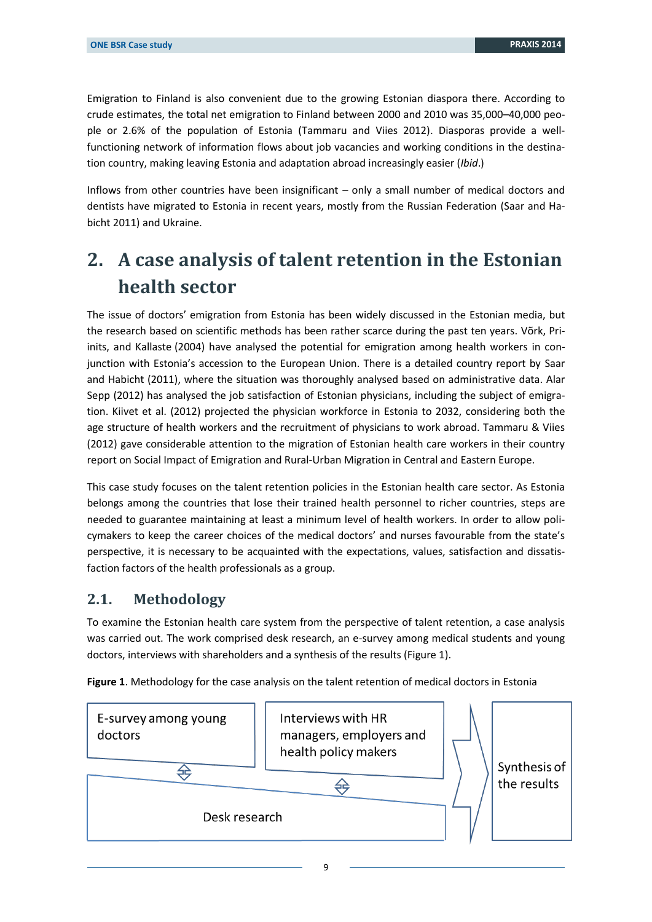Emigration to Finland is also convenient due to the growing Estonian diaspora there. According to crude estimates, the total net emigration to Finland between 2000 and 2010 was 35,000–40,000 people or 2.6% of the population of Estonia (Tammaru and Viies 2012). Diasporas provide a wellfunctioning network of information flows about job vacancies and working conditions in the destination country, making leaving Estonia and adaptation abroad increasingly easier (*Ibid*.)

Inflows from other countries have been insignificant – only a small number of medical doctors and dentists have migrated to Estonia in recent years, mostly from the Russian Federation (Saar and Habicht 2011) and Ukraine.

# <span id="page-8-0"></span>**2. A case analysis of talent retention in the Estonian health sector**

The issue of doctors' emigration from Estonia has been widely discussed in the Estonian media, but the research based on scientific methods has been rather scarce during the past ten years. Võrk, Priinits, and Kallaste (2004) have analysed the potential for emigration among health workers in conjunction with Estonia's accession to the European Union. There is a detailed country report by Saar and Habicht (2011), where the situation was thoroughly analysed based on administrative data. Alar Sepp (2012) has analysed the job satisfaction of Estonian physicians, including the subject of emigration. Kiivet et al. (2012) projected the physician workforce in Estonia to 2032, considering both the age structure of health workers and the recruitment of physicians to work abroad. Tammaru & Viies (2012) gave considerable attention to the migration of Estonian health care workers in their country report on Social Impact of Emigration and Rural-Urban Migration in Central and Eastern Europe.

This case study focuses on the talent retention policies in the Estonian health care sector. As Estonia belongs among the countries that lose their trained health personnel to richer countries, steps are needed to guarantee maintaining at least a minimum level of health workers. In order to allow policymakers to keep the career choices of the medical doctors' and nurses favourable from the state's perspective, it is necessary to be acquainted with the expectations, values, satisfaction and dissatisfaction factors of the health professionals as a group.

#### <span id="page-8-1"></span>**2.1. Methodology**

To examine the Estonian health care system from the perspective of talent retention, a case analysis was carried out. The work comprised desk research, an e-survey among medical students and young doctors, interviews with shareholders and a synthesis of the results (Figure 1).



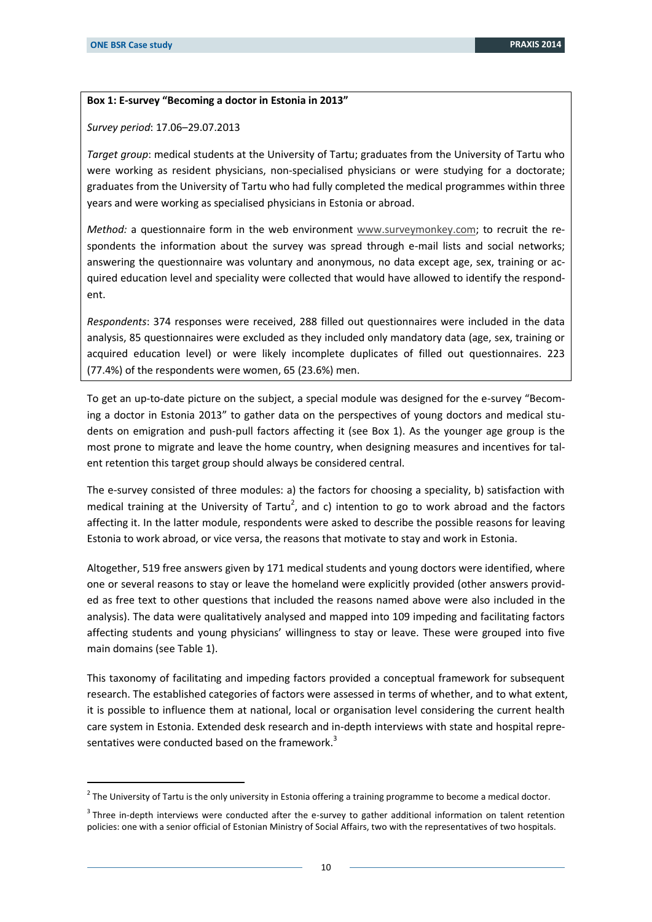-

#### **Box 1: E-survey "Becoming a doctor in Estonia in 2013"**

*Survey period*: 17.06–29.07.2013

*Target group*: medical students at the University of Tartu; graduates from the University of Tartu who were working as resident physicians, non-specialised physicians or were studying for a doctorate; graduates from the University of Tartu who had fully completed the medical programmes within three years and were working as specialised physicians in Estonia or abroad.

*Method:* a questionnaire form in the web environment [www.surveymonkey.com;](http://www.surveymonkey.com/) to recruit the respondents the information about the survey was spread through e-mail lists and social networks; answering the questionnaire was voluntary and anonymous, no data except age, sex, training or acquired education level and speciality were collected that would have allowed to identify the respondent.

*Respondents*: 374 responses were received, 288 filled out questionnaires were included in the data analysis, 85 questionnaires were excluded as they included only mandatory data (age, sex, training or acquired education level) or were likely incomplete duplicates of filled out questionnaires. 223 (77.4%) of the respondents were women, 65 (23.6%) men.

To get an up-to-date picture on the subject, a special module was designed for the e-survey "Becoming a doctor in Estonia 2013" to gather data on the perspectives of young doctors and medical students on emigration and push-pull factors affecting it (see Box 1). As the younger age group is the most prone to migrate and leave the home country, when designing measures and incentives for talent retention this target group should always be considered central.

The e-survey consisted of three modules: a) the factors for choosing a speciality, b) satisfaction with medical training at the University of Tartu<sup>2</sup>, and c) intention to go to work abroad and the factors affecting it. In the latter module, respondents were asked to describe the possible reasons for leaving Estonia to work abroad, or vice versa, the reasons that motivate to stay and work in Estonia.

Altogether, 519 free answers given by 171 medical students and young doctors were identified, where one or several reasons to stay or leave the homeland were explicitly provided (other answers provided as free text to other questions that included the reasons named above were also included in the analysis). The data were qualitatively analysed and mapped into 109 impeding and facilitating factors affecting students and young physicians' willingness to stay or leave. These were grouped into five main domains (see Table 1).

This taxonomy of facilitating and impeding factors provided a conceptual framework for subsequent research. The established categories of factors were assessed in terms of whether, and to what extent, it is possible to influence them at national, local or organisation level considering the current health care system in Estonia. Extended desk research and in-depth interviews with state and hospital representatives were conducted based on the framework. $3$ 

 $^2$  The University of Tartu is the only university in Estonia offering a training programme to become a medical doctor.

 $3$  Three in-depth interviews were conducted after the e-survey to gather additional information on talent retention policies: one with a senior official of Estonian Ministry of Social Affairs, two with the representatives of two hospitals.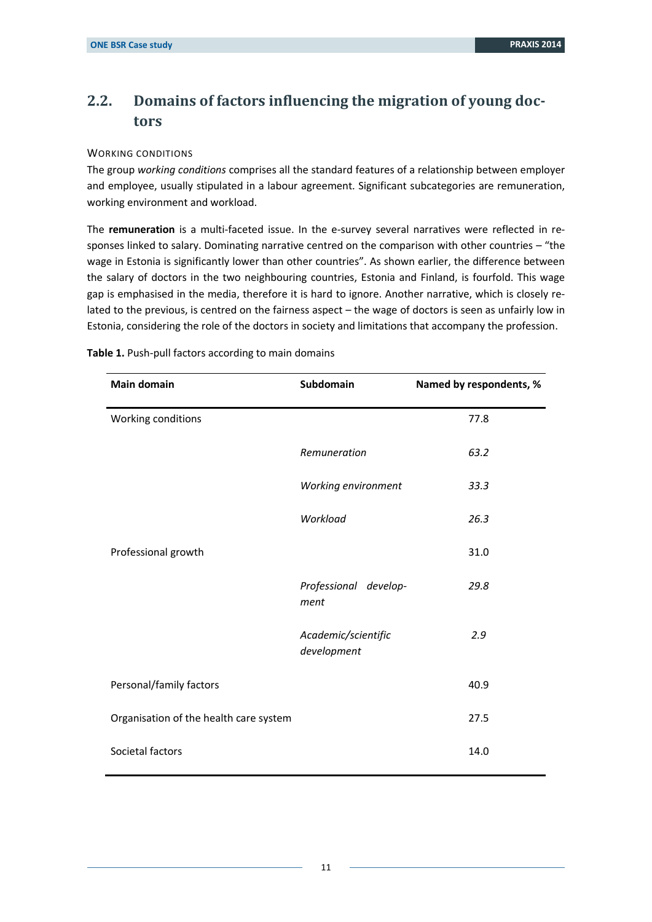### <span id="page-10-0"></span>**2.2. Domains of factors influencing the migration of young doctors**

#### WORKING CONDITIONS

The group *working conditions* comprises all the standard features of a relationship between employer and employee, usually stipulated in a labour agreement. Significant subcategories are remuneration, working environment and workload.

The **remuneration** is a multi-faceted issue. In the e-survey several narratives were reflected in responses linked to salary. Dominating narrative centred on the comparison with other countries – "the wage in Estonia is significantly lower than other countries". As shown earlier, the difference between the salary of doctors in the two neighbouring countries, Estonia and Finland, is fourfold. This wage gap is emphasised in the media, therefore it is hard to ignore. Another narrative, which is closely related to the previous, is centred on the fairness aspect – the wage of doctors is seen as unfairly low in Estonia, considering the role of the doctors in society and limitations that accompany the profession.

| <b>Main domain</b>                     | Subdomain                          | Named by respondents, % |
|----------------------------------------|------------------------------------|-------------------------|
| Working conditions                     |                                    | 77.8                    |
|                                        | Remuneration                       | 63.2                    |
|                                        | Working environment                | 33.3                    |
|                                        | Workload                           | 26.3                    |
| Professional growth                    |                                    | 31.0                    |
|                                        | Professional develop-<br>ment      | 29.8                    |
|                                        | Academic/scientific<br>development | 2.9                     |
| Personal/family factors                |                                    | 40.9                    |
| Organisation of the health care system |                                    | 27.5                    |
| Societal factors                       |                                    | 14.0                    |

**Table 1.** Push-pull factors according to main domains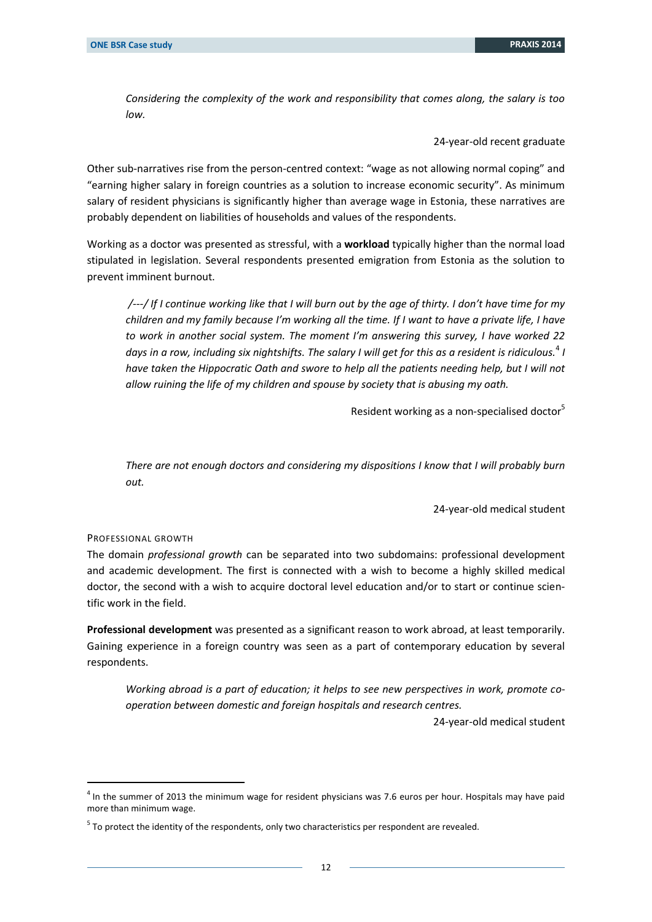*Considering the complexity of the work and responsibility that comes along, the salary is too low.*

24-year-old recent graduate

Other sub-narratives rise from the person-centred context: "wage as not allowing normal coping" and "earning higher salary in foreign countries as a solution to increase economic security". As minimum salary of resident physicians is significantly higher than average wage in Estonia, these narratives are probably dependent on liabilities of households and values of the respondents.

Working as a doctor was presented as stressful, with a **workload** typically higher than the normal load stipulated in legislation. Several respondents presented emigration from Estonia as the solution to prevent imminent burnout.

*/---/ If I continue working like that I will burn out by the age of thirty. I don't have time for my children and my family because I'm working all the time. If I want to have a private life, I have to work in another social system. The moment I'm answering this survey, I have worked 22 days in a row, including six nightshifts. The salary I will get for this as a resident is ridiculous.*<sup>4</sup> *I*  have taken the Hippocratic Oath and swore to help all the patients needing help, but I will not *allow ruining the life of my children and spouse by society that is abusing my oath.*

Resident working as a non-specialised doctor<sup>5</sup>

*There are not enough doctors and considering my dispositions I know that I will probably burn out.*

24-year-old medical student

#### PROFESSIONAL GROWTH

-

The domain *professional growth* can be separated into two subdomains: professional development and academic development. The first is connected with a wish to become a highly skilled medical doctor, the second with a wish to acquire doctoral level education and/or to start or continue scientific work in the field.

**Professional development** was presented as a significant reason to work abroad, at least temporarily. Gaining experience in a foreign country was seen as a part of contemporary education by several respondents.

*Working abroad is a part of education; it helps to see new perspectives in work, promote cooperation between domestic and foreign hospitals and research centres.*

24-year-old medical student

<sup>&</sup>lt;sup>4</sup> In the summer of 2013 the minimum wage for resident physicians was 7.6 euros per hour. Hospitals may have paid more than minimum wage.

 $<sup>5</sup>$  To protect the identity of the respondents, only two characteristics per respondent are revealed.</sup>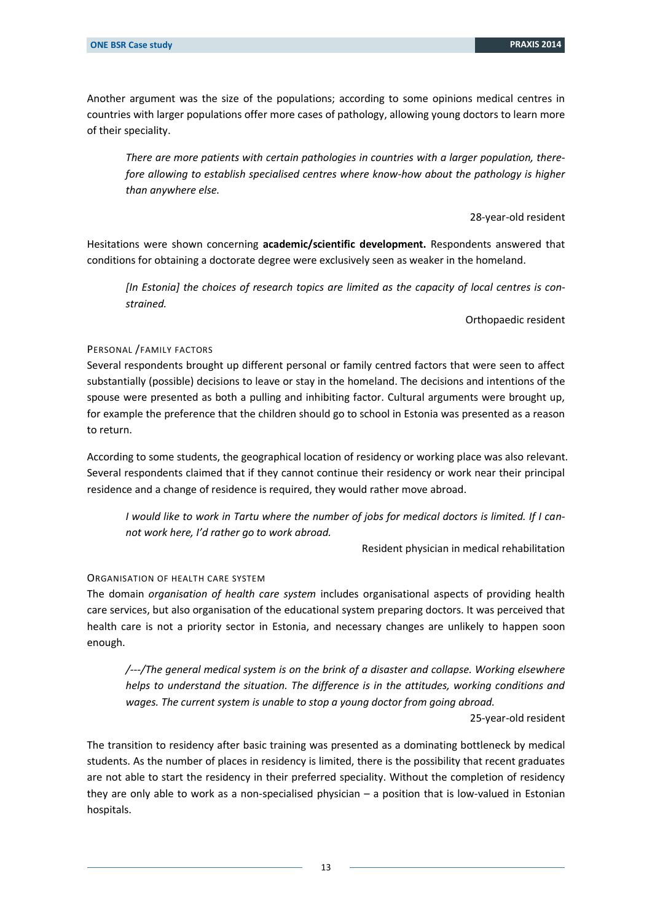Another argument was the size of the populations; according to some opinions medical centres in countries with larger populations offer more cases of pathology, allowing young doctors to learn more of their speciality.

*There are more patients with certain pathologies in countries with a larger population, therefore allowing to establish specialised centres where know-how about the pathology is higher than anywhere else.*

#### 28-year-old resident

Hesitations were shown concerning **academic/scientific development.** Respondents answered that conditions for obtaining a doctorate degree were exclusively seen as weaker in the homeland.

*[In Estonia] the choices of research topics are limited as the capacity of local centres is constrained.*

Orthopaedic resident

#### PERSONAL /FAMILY FACTORS

Several respondents brought up different personal or family centred factors that were seen to affect substantially (possible) decisions to leave or stay in the homeland. The decisions and intentions of the spouse were presented as both a pulling and inhibiting factor. Cultural arguments were brought up, for example the preference that the children should go to school in Estonia was presented as a reason to return.

According to some students, the geographical location of residency or working place was also relevant. Several respondents claimed that if they cannot continue their residency or work near their principal residence and a change of residence is required, they would rather move abroad.

*I would like to work in Tartu where the number of jobs for medical doctors is limited. If I cannot work here, I'd rather go to work abroad.*

Resident physician in medical rehabilitation

#### ORGANISATION OF HEALTH CARE SYSTEM

The domain *organisation of health care system* includes organisational aspects of providing health care services, but also organisation of the educational system preparing doctors. It was perceived that health care is not a priority sector in Estonia, and necessary changes are unlikely to happen soon enough.

*/---/The general medical system is on the brink of a disaster and collapse. Working elsewhere helps to understand the situation. The difference is in the attitudes, working conditions and wages. The current system is unable to stop a young doctor from going abroad.*

25-year-old resident

The transition to residency after basic training was presented as a dominating bottleneck by medical students. As the number of places in residency is limited, there is the possibility that recent graduates are not able to start the residency in their preferred speciality. Without the completion of residency they are only able to work as a non-specialised physician – a position that is low-valued in Estonian hospitals.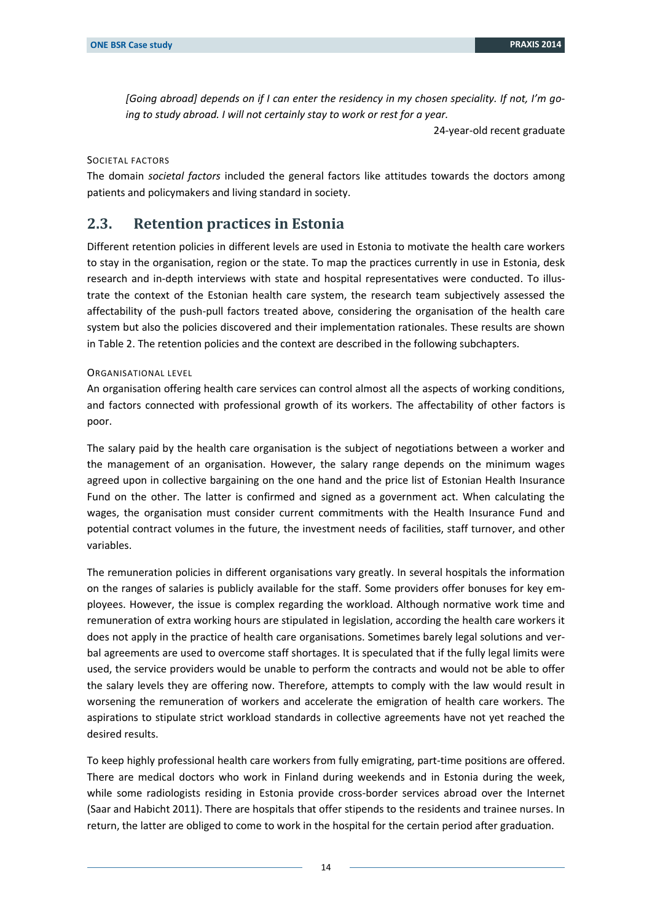*[Going abroad] depends on if I can enter the residency in my chosen speciality. If not, I'm going to study abroad. I will not certainly stay to work or rest for a year.*

24-year-old recent graduate

SOCIETAL FACTORS

The domain *societal factors* included the general factors like attitudes towards the doctors among patients and policymakers and living standard in society.

#### <span id="page-13-0"></span>**2.3. Retention practices in Estonia**

Different retention policies in different levels are used in Estonia to motivate the health care workers to stay in the organisation, region or the state. To map the practices currently in use in Estonia, desk research and in-depth interviews with state and hospital representatives were conducted. To illustrate the context of the Estonian health care system, the research team subjectively assessed the affectability of the push-pull factors treated above, considering the organisation of the health care system but also the policies discovered and their implementation rationales. These results are shown in Table 2. The retention policies and the context are described in the following subchapters.

#### ORGANISATIONAL LEVEL

An organisation offering health care services can control almost all the aspects of working conditions, and factors connected with professional growth of its workers. The affectability of other factors is poor.

The salary paid by the health care organisation is the subject of negotiations between a worker and the management of an organisation. However, the salary range depends on the minimum wages agreed upon in collective bargaining on the one hand and the price list of Estonian Health Insurance Fund on the other. The latter is confirmed and signed as a government act. When calculating the wages, the organisation must consider current commitments with the Health Insurance Fund and potential contract volumes in the future, the investment needs of facilities, staff turnover, and other variables.

The remuneration policies in different organisations vary greatly. In several hospitals the information on the ranges of salaries is publicly available for the staff. Some providers offer bonuses for key employees. However, the issue is complex regarding the workload. Although normative work time and remuneration of extra working hours are stipulated in legislation, according the health care workers it does not apply in the practice of health care organisations. Sometimes barely legal solutions and verbal agreements are used to overcome staff shortages. It is speculated that if the fully legal limits were used, the service providers would be unable to perform the contracts and would not be able to offer the salary levels they are offering now. Therefore, attempts to comply with the law would result in worsening the remuneration of workers and accelerate the emigration of health care workers. The aspirations to stipulate strict workload standards in collective agreements have not yet reached the desired results.

To keep highly professional health care workers from fully emigrating, part-time positions are offered. There are medical doctors who work in Finland during weekends and in Estonia during the week, while some radiologists residing in Estonia provide cross-border services abroad over the Internet (Saar and Habicht 2011). There are hospitals that offer stipends to the residents and trainee nurses. In return, the latter are obliged to come to work in the hospital for the certain period after graduation.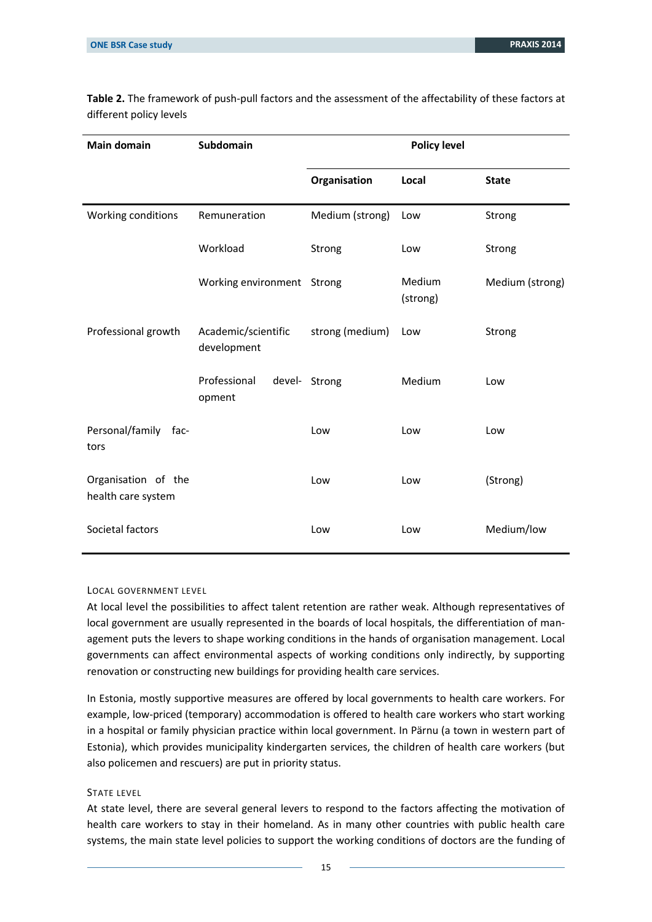| <b>Main domain</b>                        | Subdomain                          | <b>Policy level</b> |                    |                 |
|-------------------------------------------|------------------------------------|---------------------|--------------------|-----------------|
|                                           |                                    | Organisation        | Local              | <b>State</b>    |
| Working conditions                        | Remuneration                       | Medium (strong)     | Low                | Strong          |
|                                           | Workload                           | Strong              | Low                | Strong          |
|                                           | Working environment Strong         |                     | Medium<br>(strong) | Medium (strong) |
| Professional growth                       | Academic/scientific<br>development | strong (medium)     | Low                | Strong          |
|                                           | Professional<br>opment             | devel- Strong       | Medium             | Low             |
| Personal/family<br>-fac<br>tors           |                                    | Low                 | Low                | Low             |
| Organisation of the<br>health care system |                                    | Low                 | Low                | (Strong)        |
| Societal factors                          |                                    | Low                 | Low                | Medium/low      |

**Table 2.** The framework of push-pull factors and the assessment of the affectability of these factors at different policy levels

#### LOCAL GOVERNMENT LEVEL

At local level the possibilities to affect talent retention are rather weak. Although representatives of local government are usually represented in the boards of local hospitals, the differentiation of management puts the levers to shape working conditions in the hands of organisation management. Local governments can affect environmental aspects of working conditions only indirectly, by supporting renovation or constructing new buildings for providing health care services.

In Estonia, mostly supportive measures are offered by local governments to health care workers. For example, low-priced (temporary) accommodation is offered to health care workers who start working in a hospital or family physician practice within local government. In Pärnu (a town in western part of Estonia), which provides municipality kindergarten services, the children of health care workers (but also policemen and rescuers) are put in priority status.

#### STATE LEVEL

At state level, there are several general levers to respond to the factors affecting the motivation of health care workers to stay in their homeland. As in many other countries with public health care systems, the main state level policies to support the working conditions of doctors are the funding of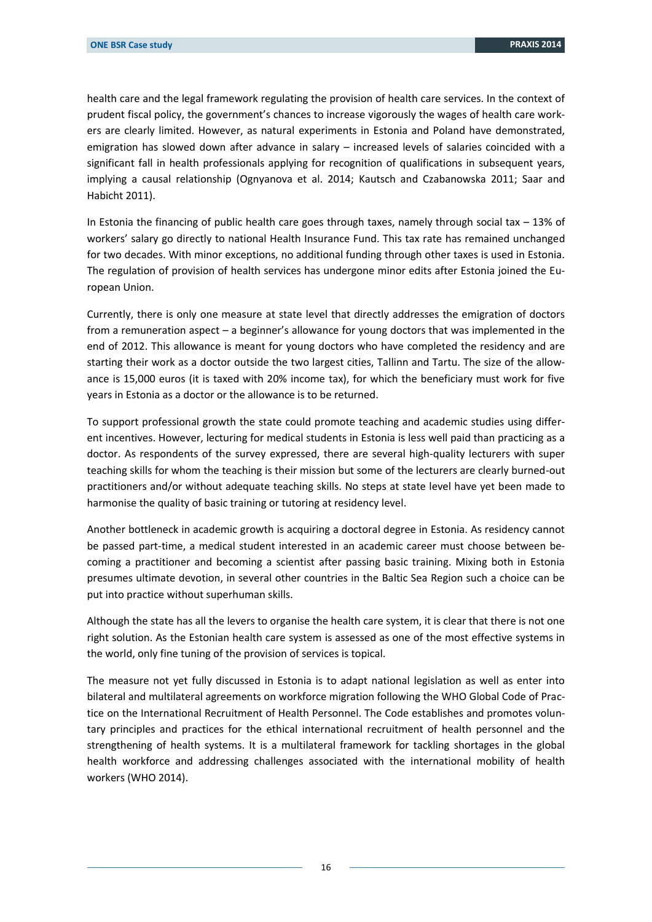health care and the legal framework regulating the provision of health care services. In the context of prudent fiscal policy, the government's chances to increase vigorously the wages of health care workers are clearly limited. However, as natural experiments in Estonia and Poland have demonstrated, emigration has slowed down after advance in salary – increased levels of salaries coincided with a significant fall in health professionals applying for recognition of qualifications in subsequent years, implying a causal relationship (Ognyanova et al. 2014; Kautsch and Czabanowska 2011; Saar and Habicht 2011).

In Estonia the financing of public health care goes through taxes, namely through social tax  $-13%$  of workers' salary go directly to national Health Insurance Fund. This tax rate has remained unchanged for two decades. With minor exceptions, no additional funding through other taxes is used in Estonia. The regulation of provision of health services has undergone minor edits after Estonia joined the European Union.

Currently, there is only one measure at state level that directly addresses the emigration of doctors from a remuneration aspect – a beginner's allowance for young doctors that was implemented in the end of 2012. This allowance is meant for young doctors who have completed the residency and are starting their work as a doctor outside the two largest cities, Tallinn and Tartu. The size of the allowance is 15,000 euros (it is taxed with 20% income tax), for which the beneficiary must work for five years in Estonia as a doctor or the allowance is to be returned.

To support professional growth the state could promote teaching and academic studies using different incentives. However, lecturing for medical students in Estonia is less well paid than practicing as a doctor. As respondents of the survey expressed, there are several high-quality lecturers with super teaching skills for whom the teaching is their mission but some of the lecturers are clearly burned-out practitioners and/or without adequate teaching skills. No steps at state level have yet been made to harmonise the quality of basic training or tutoring at residency level.

Another bottleneck in academic growth is acquiring a doctoral degree in Estonia. As residency cannot be passed part-time, a medical student interested in an academic career must choose between becoming a practitioner and becoming a scientist after passing basic training. Mixing both in Estonia presumes ultimate devotion, in several other countries in the Baltic Sea Region such a choice can be put into practice without superhuman skills.

Although the state has all the levers to organise the health care system, it is clear that there is not one right solution. As the Estonian health care system is assessed as one of the most effective systems in the world, only fine tuning of the provision of services is topical.

The measure not yet fully discussed in Estonia is to adapt national legislation as well as enter into bilateral and multilateral agreements on workforce migration following the WHO Global Code of Practice on the International Recruitment of Health Personnel. The Code establishes and promotes voluntary principles and practices for the ethical international recruitment of health personnel and the strengthening of health systems. It is a multilateral framework for tackling shortages in the global health workforce and addressing challenges associated with the international mobility of health workers (WHO 2014).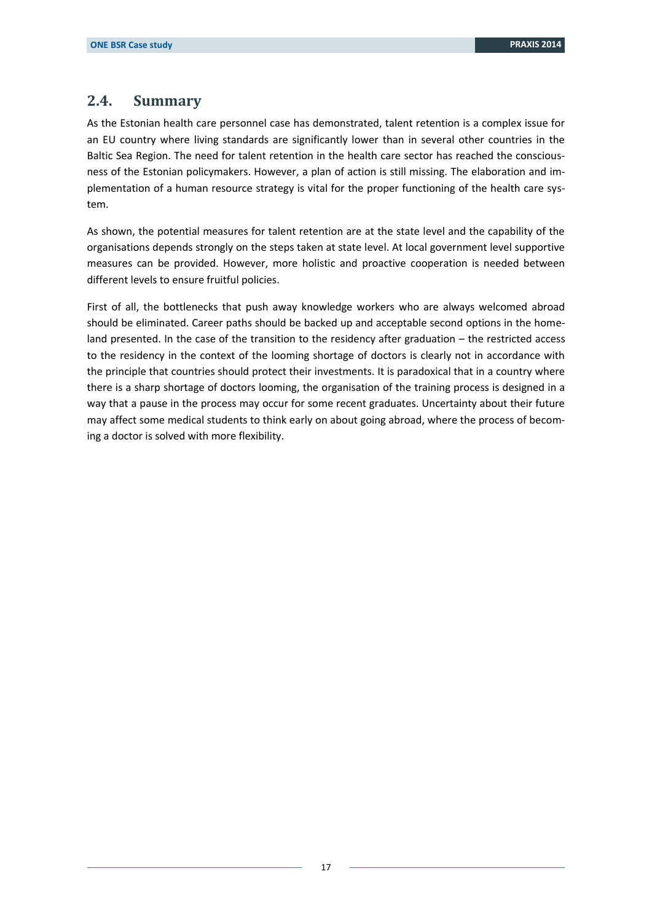### <span id="page-16-0"></span>**2.4. Summary**

As the Estonian health care personnel case has demonstrated, talent retention is a complex issue for an EU country where living standards are significantly lower than in several other countries in the Baltic Sea Region. The need for talent retention in the health care sector has reached the consciousness of the Estonian policymakers. However, a plan of action is still missing. The elaboration and implementation of a human resource strategy is vital for the proper functioning of the health care system.

As shown, the potential measures for talent retention are at the state level and the capability of the organisations depends strongly on the steps taken at state level. At local government level supportive measures can be provided. However, more holistic and proactive cooperation is needed between different levels to ensure fruitful policies.

First of all, the bottlenecks that push away knowledge workers who are always welcomed abroad should be eliminated. Career paths should be backed up and acceptable second options in the homeland presented. In the case of the transition to the residency after graduation – the restricted access to the residency in the context of the looming shortage of doctors is clearly not in accordance with the principle that countries should protect their investments. It is paradoxical that in a country where there is a sharp shortage of doctors looming, the organisation of the training process is designed in a way that a pause in the process may occur for some recent graduates. Uncertainty about their future may affect some medical students to think early on about going abroad, where the process of becoming a doctor is solved with more flexibility.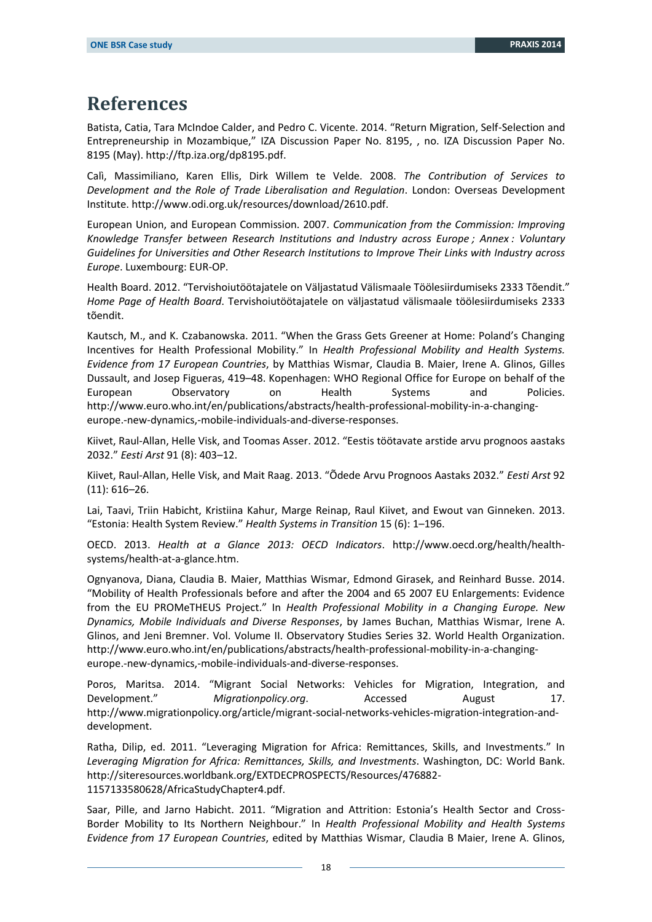## <span id="page-17-0"></span>**References**

Batista, Catia, Tara McIndoe Calder, and Pedro C. Vicente. 2014. "Return Migration, Self-Selection and Entrepreneurship in Mozambique," IZA Discussion Paper No. 8195, , no. IZA Discussion Paper No. 8195 (May). http://ftp.iza.org/dp8195.pdf.

Calì, Massimiliano, Karen Ellis, Dirk Willem te Velde. 2008. *The Contribution of Services to Development and the Role of Trade Liberalisation and Regulation*. London: Overseas Development Institute. http://www.odi.org.uk/resources/download/2610.pdf.

European Union, and European Commission. 2007. *Communication from the Commission: Improving Knowledge Transfer between Research Institutions and Industry across Europe ; Annex : Voluntary Guidelines for Universities and Other Research Institutions to Improve Their Links with Industry across Europe*. Luxembourg: EUR-OP.

Health Board. 2012. "Tervishoiutöötajatele on Väljastatud Välismaale Töölesiirdumiseks 2333 Tõendit." *Home Page of Health Board*. Tervishoiutöötajatele on väljastatud välismaale töölesiirdumiseks 2333 tõendit.

Kautsch, M., and K. Czabanowska. 2011. "When the Grass Gets Greener at Home: Poland's Changing Incentives for Health Professional Mobility." In *Health Professional Mobility and Health Systems. Evidence from 17 European Countries*, by Matthias Wismar, Claudia B. Maier, Irene A. Glinos, Gilles Dussault, and Josep Figueras, 419–48. Kopenhagen: WHO Regional Office for Europe on behalf of the European Observatory on Health Systems and Policies. http://www.euro.who.int/en/publications/abstracts/health-professional-mobility-in-a-changingeurope.-new-dynamics,-mobile-individuals-and-diverse-responses.

Kiivet, Raul-Allan, Helle Visk, and Toomas Asser. 2012. "Eestis töötavate arstide arvu prognoos aastaks 2032." *Eesti Arst* 91 (8): 403–12.

Kiivet, Raul-Allan, Helle Visk, and Mait Raag. 2013. "Õdede Arvu Prognoos Aastaks 2032." *Eesti Arst* 92 (11): 616–26.

Lai, Taavi, Triin Habicht, Kristiina Kahur, Marge Reinap, Raul Kiivet, and Ewout van Ginneken. 2013. "Estonia: Health System Review." *Health Systems in Transition* 15 (6): 1–196.

OECD. 2013. *Health at a Glance 2013: OECD Indicators*. http://www.oecd.org/health/healthsystems/health-at-a-glance.htm.

Ognyanova, Diana, Claudia B. Maier, Matthias Wismar, Edmond Girasek, and Reinhard Busse. 2014. "Mobility of Health Professionals before and after the 2004 and 65 2007 EU Enlargements: Evidence from the EU PROMeTHEUS Project." In *Health Professional Mobility in a Changing Europe. New Dynamics, Mobile Individuals and Diverse Responses*, by James Buchan, Matthias Wismar, Irene A. Glinos, and Jeni Bremner. Vol. Volume II. Observatory Studies Series 32. World Health Organization. http://www.euro.who.int/en/publications/abstracts/health-professional-mobility-in-a-changingeurope.-new-dynamics,-mobile-individuals-and-diverse-responses.

Poros, Maritsa. 2014. "Migrant Social Networks: Vehicles for Migration, Integration, and Development." *Migrationpolicy.org*. Accessed August 17. http://www.migrationpolicy.org/article/migrant-social-networks-vehicles-migration-integration-anddevelopment.

Ratha, Dilip, ed. 2011. "Leveraging Migration for Africa: Remittances, Skills, and Investments." In *Leveraging Migration for Africa: Remittances, Skills, and Investments*. Washington, DC: World Bank. http://siteresources.worldbank.org/EXTDECPROSPECTS/Resources/476882- 1157133580628/AfricaStudyChapter4.pdf.

Saar, Pille, and Jarno Habicht. 2011. "Migration and Attrition: Estonia's Health Sector and Cross-Border Mobility to Its Northern Neighbour." In *Health Professional Mobility and Health Systems Evidence from 17 European Countries*, edited by Matthias Wismar, Claudia B Maier, Irene A. Glinos,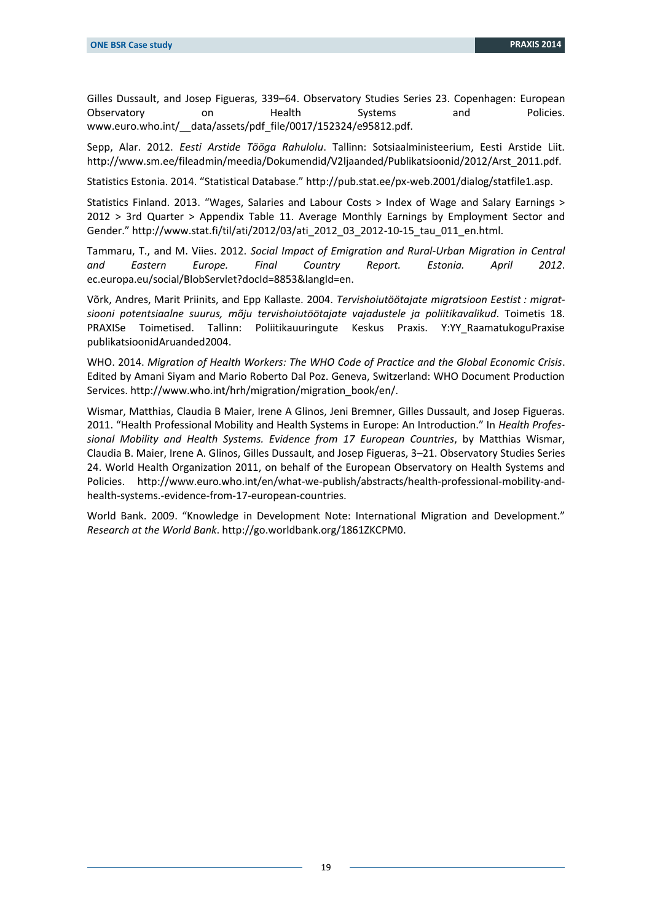Gilles Dussault, and Josep Figueras, 339–64. Observatory Studies Series 23. Copenhagen: European Observatory on thealth Systems and Policies. www.euro.who.int/\_\_data/assets/pdf\_file/0017/152324/e95812.pdf.

Sepp, Alar. 2012. *Eesti Arstide Tööga Rahulolu*. Tallinn: Sotsiaalministeerium, Eesti Arstide Liit. http://www.sm.ee/fileadmin/meedia/Dokumendid/V2ljaanded/Publikatsioonid/2012/Arst\_2011.pdf.

Statistics Estonia. 2014. "Statistical Database." http://pub.stat.ee/px-web.2001/dialog/statfile1.asp.

Statistics Finland. 2013. "Wages, Salaries and Labour Costs > Index of Wage and Salary Earnings > 2012 > 3rd Quarter > Appendix Table 11. Average Monthly Earnings by Employment Sector and Gender." http://www.stat.fi/til/ati/2012/03/ati\_2012\_03\_2012-10-15\_tau\_011\_en.html.

Tammaru, T., and M. Viies. 2012. *Social Impact of Emigration and Rural-Urban Migration in Central and Eastern Europe. Final Country Report. Estonia. April 2012*. ec.europa.eu/social/BlobServlet?docId=8853&langId=en.

Võrk, Andres, Marit Priinits, and Epp Kallaste. 2004. *Tervishoiutöötajate migratsioon Eestist : migratsiooni potentsiaalne suurus, mõju tervishoiutöötajate vajadustele ja poliitikavalikud*. Toimetis 18. PRAXISe Toimetised. Tallinn: Poliitikauuringute Keskus Praxis. Y:YY\_RaamatukoguPraxise publikatsioonidAruanded2004.

WHO. 2014. *Migration of Health Workers: The WHO Code of Practice and the Global Economic Crisis*. Edited by Amani Siyam and Mario Roberto Dal Poz. Geneva, Switzerland: WHO Document Production Services. http://www.who.int/hrh/migration/migration\_book/en/.

Wismar, Matthias, Claudia B Maier, Irene A Glinos, Jeni Bremner, Gilles Dussault, and Josep Figueras. 2011. "Health Professional Mobility and Health Systems in Europe: An Introduction." In *Health Professional Mobility and Health Systems. Evidence from 17 European Countries*, by Matthias Wismar, Claudia B. Maier, Irene A. Glinos, Gilles Dussault, and Josep Figueras, 3–21. Observatory Studies Series 24. World Health Organization 2011, on behalf of the European Observatory on Health Systems and Policies. http://www.euro.who.int/en/what-we-publish/abstracts/health-professional-mobility-andhealth-systems.-evidence-from-17-european-countries.

World Bank. 2009. "Knowledge in Development Note: International Migration and Development." *Research at the World Bank*. http://go.worldbank.org/1861ZKCPM0.